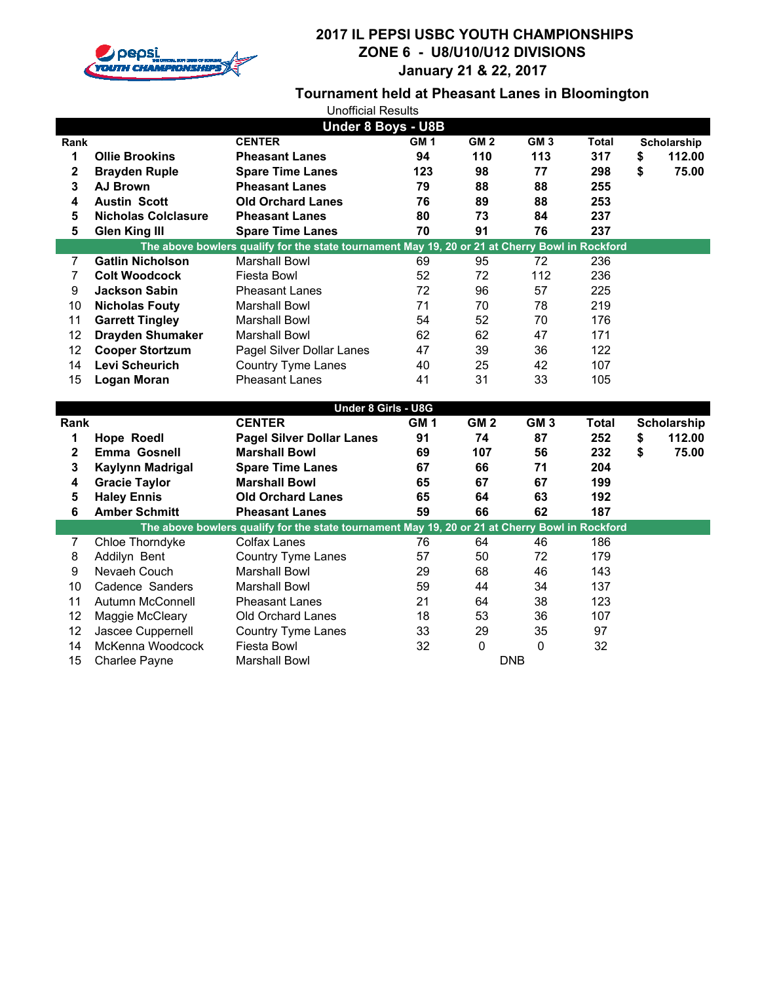

# **2017 IL PEPSI USBC YOUTH CHAMPIONSHIPS ZONE 6 - U8/U10/U12 DIVISIONS January 21 & 22, 2017**

# **Tournament held at Pheasant Lanes in Bloomington**

| <b>Unofficial Results</b> |                                   |                                                                                                |                 |                 |                 |              |    |                    |
|---------------------------|-----------------------------------|------------------------------------------------------------------------------------------------|-----------------|-----------------|-----------------|--------------|----|--------------------|
| <b>Under 8 Boys - U8B</b> |                                   |                                                                                                |                 |                 |                 |              |    |                    |
| Rank                      |                                   | <b>CENTER</b>                                                                                  | GM1             | GM <sub>2</sub> | GM3             | <b>Total</b> |    | Scholarship        |
| 1                         | <b>Ollie Brookins</b>             | <b>Pheasant Lanes</b>                                                                          | 94              | 110             | 113             | 317          | \$ | 112.00             |
| $\overline{\mathbf{2}}$   | <b>Brayden Ruple</b>              | <b>Spare Time Lanes</b>                                                                        | 123             | 98              | 77              | 298          | \$ | 75.00              |
| 3                         | <b>AJ Brown</b>                   | <b>Pheasant Lanes</b>                                                                          | 79              | 88              | 88              | 255          |    |                    |
| 4                         | <b>Austin Scott</b>               | <b>Old Orchard Lanes</b>                                                                       | 76              | 89              | 88              | 253          |    |                    |
| 5                         | <b>Nicholas Colclasure</b>        | <b>Pheasant Lanes</b>                                                                          | 80              | 73              | 84              | 237          |    |                    |
| 5                         | <b>Glen King III</b>              | <b>Spare Time Lanes</b>                                                                        | 70              | 91              | 76              | 237          |    |                    |
|                           |                                   | The above bowlers qualify for the state tournament May 19, 20 or 21 at Cherry Bowl in Rockford |                 |                 |                 |              |    |                    |
| 7                         | <b>Gatlin Nicholson</b>           | <b>Marshall Bowl</b>                                                                           | 69              | 95              | 72              | 236          |    |                    |
| $\overline{7}$            | <b>Colt Woodcock</b>              | Fiesta Bowl                                                                                    | 52              | 72              | 112             | 236          |    |                    |
| 9                         | <b>Jackson Sabin</b>              | <b>Pheasant Lanes</b>                                                                          | 72              | 96              | 57              | 225          |    |                    |
| 10                        | <b>Nicholas Fouty</b>             | <b>Marshall Bowl</b>                                                                           | 71              | 70              | 78              | 219          |    |                    |
| 11                        | <b>Garrett Tingley</b>            | <b>Marshall Bowl</b>                                                                           | 54              | 52              | 70              | 176          |    |                    |
| 12                        | <b>Drayden Shumaker</b>           | <b>Marshall Bowl</b>                                                                           | 62              | 62              | 47              | 171          |    |                    |
| 12                        | <b>Cooper Stortzum</b>            | Pagel Silver Dollar Lanes                                                                      | 47              | 39              | 36              | 122          |    |                    |
| 14                        | Levi Scheurich                    | Country Tyme Lanes                                                                             | 40              | 25              | 42              | 107          |    |                    |
| 15                        | <b>Logan Moran</b>                | <b>Pheasant Lanes</b>                                                                          | 41              | 31              | 33              | 105          |    |                    |
|                           |                                   |                                                                                                |                 |                 |                 |              |    |                    |
|                           |                                   |                                                                                                |                 |                 |                 |              |    |                    |
|                           |                                   | Under 8 Girls - U8G                                                                            |                 |                 |                 |              |    |                    |
| Rank                      |                                   | <b>CENTER</b>                                                                                  | GM <sub>1</sub> | GM <sub>2</sub> | GM <sub>3</sub> | <b>Total</b> |    | <b>Scholarship</b> |
| 1                         | <b>Hope Roedl</b>                 | <b>Pagel Silver Dollar Lanes</b>                                                               | 91              | 74              | 87              | 252          | \$ | 112.00             |
| $\mathbf 2$               | <b>Emma Gosnell</b>               | <b>Marshall Bowl</b>                                                                           | 69              | 107             | 56              | 232          | \$ | 75.00              |
| 3                         | Kaylynn Madrigal                  | <b>Spare Time Lanes</b>                                                                        | 67              | 66              | 71              | 204          |    |                    |
| 4                         | <b>Gracie Taylor</b>              | <b>Marshall Bowl</b>                                                                           | 65              | 67              | 67              | 199          |    |                    |
| 5                         | <b>Haley Ennis</b>                | <b>Old Orchard Lanes</b>                                                                       | 65              | 64              | 63              | 192          |    |                    |
| 6                         | <b>Amber Schmitt</b>              | <b>Pheasant Lanes</b>                                                                          | 59              | 66              | 62              | 187          |    |                    |
|                           |                                   | The above bowlers qualify for the state tournament May 19, 20 or 21 at Cherry Bowl in Rockford |                 |                 |                 |              |    |                    |
| 7                         | Chloe Thorndyke                   | Colfax Lanes                                                                                   | 76              | 64              | 46              | 186          |    |                    |
| 8                         | Addilyn Bent                      | <b>Country Tyme Lanes</b>                                                                      | 57              | 50              | 72              | 179          |    |                    |
| $\boldsymbol{9}$          | Nevaeh Couch                      | <b>Marshall Bowl</b>                                                                           | 29              | 68              | 46              | 143          |    |                    |
| 10                        | Cadence Sanders                   | <b>Marshall Bowl</b>                                                                           | 59              | 44              | 34              | 137          |    |                    |
| 11                        | Autumn McConnell                  | <b>Pheasant Lanes</b>                                                                          | 21              | 64              | 38              | 123          |    |                    |
| 12                        | Maggie McCleary                   | Old Orchard Lanes                                                                              | 18              | 53              | 36              | 107          |    |                    |
| 12                        | Jascee Cuppernell                 | Country Tyme Lanes                                                                             | 33              | 29              | 35              | 97           |    |                    |
| 14<br>15                  | McKenna Woodcock<br>Charlee Payne | Fiesta Bowl<br><b>Marshall Bowl</b>                                                            | 32              | 0<br><b>DNB</b> | $\mathbf 0$     | 32           |    |                    |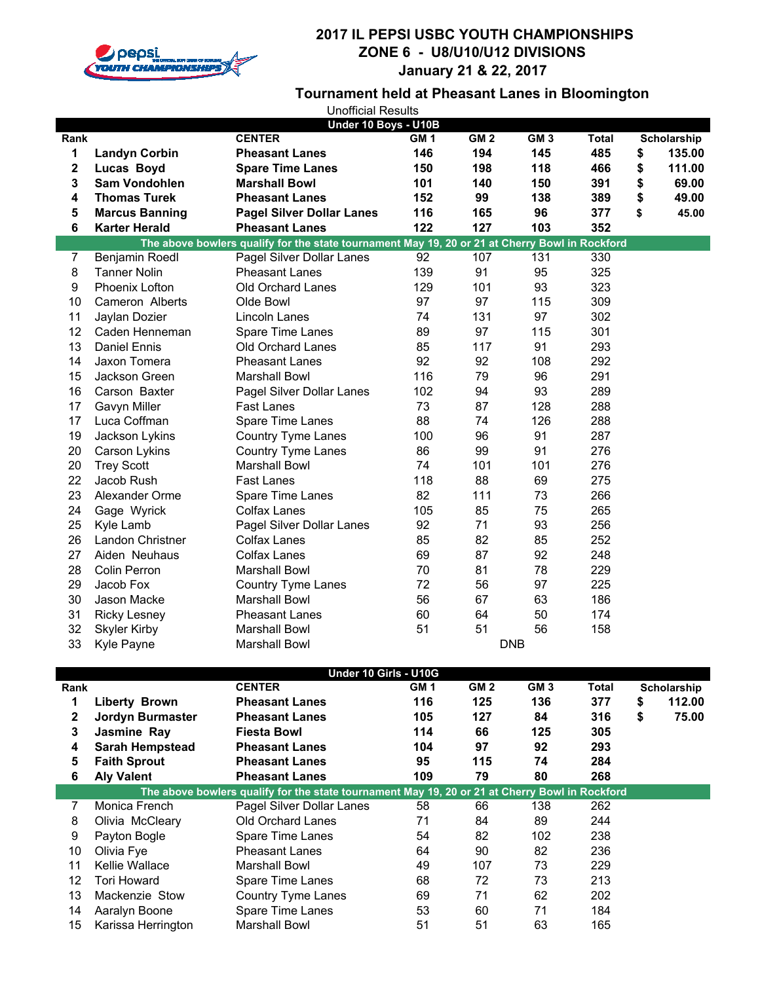

### **2017 IL PEPSI USBC YOUTH CHAMPIONSHIPS ZONE 6 - U8/U10/U12 DIVISIONS January 21 & 22, 2017**

#### **Tournament held at Pheasant Lanes in Bloomington**

| <b>Unofficial Results</b> |                        |                                                                                                |                 |                 |            |              |              |
|---------------------------|------------------------|------------------------------------------------------------------------------------------------|-----------------|-----------------|------------|--------------|--------------|
|                           |                        | Under 10 Boys - U10B                                                                           |                 |                 |            |              |              |
| Rank                      |                        | <b>CENTER</b>                                                                                  | GM <sub>1</sub> | GM <sub>2</sub> | GM3        | <b>Total</b> | Scholarship  |
| 1                         | <b>Landyn Corbin</b>   | <b>Pheasant Lanes</b>                                                                          | 146             | 194             | 145        | 485          | \$<br>135.00 |
| $\boldsymbol{2}$          | Lucas Boyd             | <b>Spare Time Lanes</b>                                                                        | 150             | 198             | 118        | 466          | \$<br>111.00 |
| 3                         | <b>Sam Vondohlen</b>   | <b>Marshall Bowl</b>                                                                           | 101             | 140             | 150        | 391          | \$<br>69.00  |
| 4                         | <b>Thomas Turek</b>    | <b>Pheasant Lanes</b>                                                                          | 152             | 99              | 138        | 389          | \$<br>49.00  |
| 5                         | <b>Marcus Banning</b>  | <b>Pagel Silver Dollar Lanes</b>                                                               | 116             | 165             | 96         | 377          | \$<br>45.00  |
| 6                         | <b>Karter Herald</b>   | <b>Pheasant Lanes</b>                                                                          | 122             | 127             | 103        | 352          |              |
|                           |                        | The above bowlers qualify for the state tournament May 19, 20 or 21 at Cherry Bowl in Rockford |                 |                 |            |              |              |
| 7                         | Benjamin Roedl         | Pagel Silver Dollar Lanes                                                                      | 92              | 107             | 131        | 330          |              |
| 8                         | <b>Tanner Nolin</b>    | <b>Pheasant Lanes</b>                                                                          | 139             | 91              | 95         | 325          |              |
| 9                         | Phoenix Lofton         | Old Orchard Lanes                                                                              | 129             | 101             | 93         | 323          |              |
| 10                        | Cameron Alberts        | Olde Bowl                                                                                      | 97              | 97              | 115        | 309          |              |
| 11                        | Jaylan Dozier          | Lincoln Lanes                                                                                  | 74              | 131             | 97         | 302          |              |
| 12                        | Caden Henneman         | Spare Time Lanes                                                                               | 89              | 97              | 115        | 301          |              |
| 13                        | Daniel Ennis           | Old Orchard Lanes                                                                              | 85              | 117             | 91         | 293          |              |
| 14                        | Jaxon Tomera           | <b>Pheasant Lanes</b>                                                                          | 92              | 92              | 108        | 292          |              |
| 15                        | Jackson Green          | Marshall Bowl                                                                                  | 116             | 79              | 96         | 291          |              |
| 16                        | Carson Baxter          | Pagel Silver Dollar Lanes                                                                      | 102             | 94              | 93         | 289          |              |
| 17                        | Gavyn Miller           | Fast Lanes                                                                                     | 73              | 87              | 128        | 288          |              |
| 17                        | Luca Coffman           | Spare Time Lanes                                                                               | 88              | 74              | 126        | 288          |              |
| 19                        | Jackson Lykins         | Country Tyme Lanes                                                                             | 100             | 96              | 91         | 287          |              |
| 20                        | Carson Lykins          | Country Tyme Lanes                                                                             | 86              | 99              | 91         | 276          |              |
| 20                        | <b>Trey Scott</b>      | <b>Marshall Bowl</b>                                                                           | 74              | 101             | 101        | 276          |              |
| 22                        | Jacob Rush             | Fast Lanes                                                                                     | 118             | 88              | 69         | 275          |              |
| 23                        | Alexander Orme         | Spare Time Lanes                                                                               | 82              | 111             | 73         | 266          |              |
| 24                        | Gage Wyrick            | Colfax Lanes                                                                                   | 105             | 85              | 75         | 265          |              |
| 25                        | Kyle Lamb              | Pagel Silver Dollar Lanes                                                                      | 92              | 71              | 93         | 256          |              |
| 26                        | Landon Christner       | <b>Colfax Lanes</b>                                                                            | 85              | 82              | 85         | 252          |              |
| 27                        | Aiden Neuhaus          | Colfax Lanes                                                                                   | 69              | 87              | 92         | 248          |              |
| 28                        | Colin Perron           | Marshall Bowl                                                                                  | 70              | 81              | 78         | 229          |              |
| 29                        | Jacob Fox              | Country Tyme Lanes                                                                             | 72              | 56              | 97         | 225          |              |
| 30                        | Jason Macke            | <b>Marshall Bowl</b>                                                                           | 56              | 67              | 63         | 186          |              |
| 31                        | <b>Ricky Lesney</b>    | <b>Pheasant Lanes</b>                                                                          | 60              | 64              | 50         | 174          |              |
| 32                        | <b>Skyler Kirby</b>    | Marshall Bowl                                                                                  | 51              | 51              | 56         | 158          |              |
| 33                        | Kyle Payne             | Marshall Bowl                                                                                  |                 |                 | <b>DNB</b> |              |              |
|                           |                        |                                                                                                |                 |                 |            |              |              |
|                           |                        | Under 10 Girls - U10G                                                                          |                 |                 |            |              |              |
| Rank                      |                        | <b>CENTER</b>                                                                                  | GM <sub>1</sub> | GM <sub>2</sub> | GM3        | <b>Total</b> | Scholarship  |
| 1                         | <b>Liberty Brown</b>   | <b>Pheasant Lanes</b>                                                                          | 116             | 125             | 136        | 377          | \$<br>112.00 |
| $\bf{2}$                  | Jordyn Burmaster       | <b>Pheasant Lanes</b>                                                                          | 105             | 127             | 84         | 316          | \$<br>75.00  |
| 3                         | Jasmine Ray            | <b>Fiesta Bowl</b>                                                                             | 114             | 66              | 125        | 305          |              |
| 4                         | <b>Sarah Hempstead</b> | <b>Pheasant Lanes</b>                                                                          | 104             | 97              | 92         | 293          |              |
| 5                         | <b>Faith Sprout</b>    | <b>Pheasant Lanes</b>                                                                          | 95              | 115             | 74         | 284          |              |
| 6                         | <b>Aly Valent</b>      | <b>Pheasant Lanes</b>                                                                          | 109             | 79              | 80         | 268          |              |
|                           |                        | The above bowlers qualify for the state tournament May 19, 20 or 21 at Cherry Bowl in Rockford |                 |                 |            |              |              |
| 7                         | Monica French          | Pagel Silver Dollar Lanes                                                                      | 58              | 66              | 138        | 262          |              |
| 8                         | Olivia McCleary        | Old Orchard Lanes                                                                              | 71              | 84              | 89         | 244          |              |
| 9                         | Payton Bogle           | Spare Time Lanes                                                                               | 54              | 82              | 102        | 238          |              |
| 10                        | Olivia Fye             | <b>Pheasant Lanes</b>                                                                          | 64              | 90              | 82         | 236          |              |
| 11                        | Kellie Wallace         | <b>Marshall Bowl</b>                                                                           | 49              | 107             | 73         | 229          |              |
| 12                        | Tori Howard            | Spare Time Lanes                                                                               | 68              | 72              | 73         | 213          |              |
| 13                        | Mackenzie Stow         | Country Tyme Lanes                                                                             | 69              | 71              | 62         | 202          |              |
| 14                        | Aaralyn Boone          | Spare Time Lanes                                                                               | 53              | 60              | 71         | 184          |              |
| 15                        | Karissa Herrington     | <b>Marshall Bowl</b>                                                                           | 51              | 51              | 63         | 165          |              |
|                           |                        |                                                                                                |                 |                 |            |              |              |